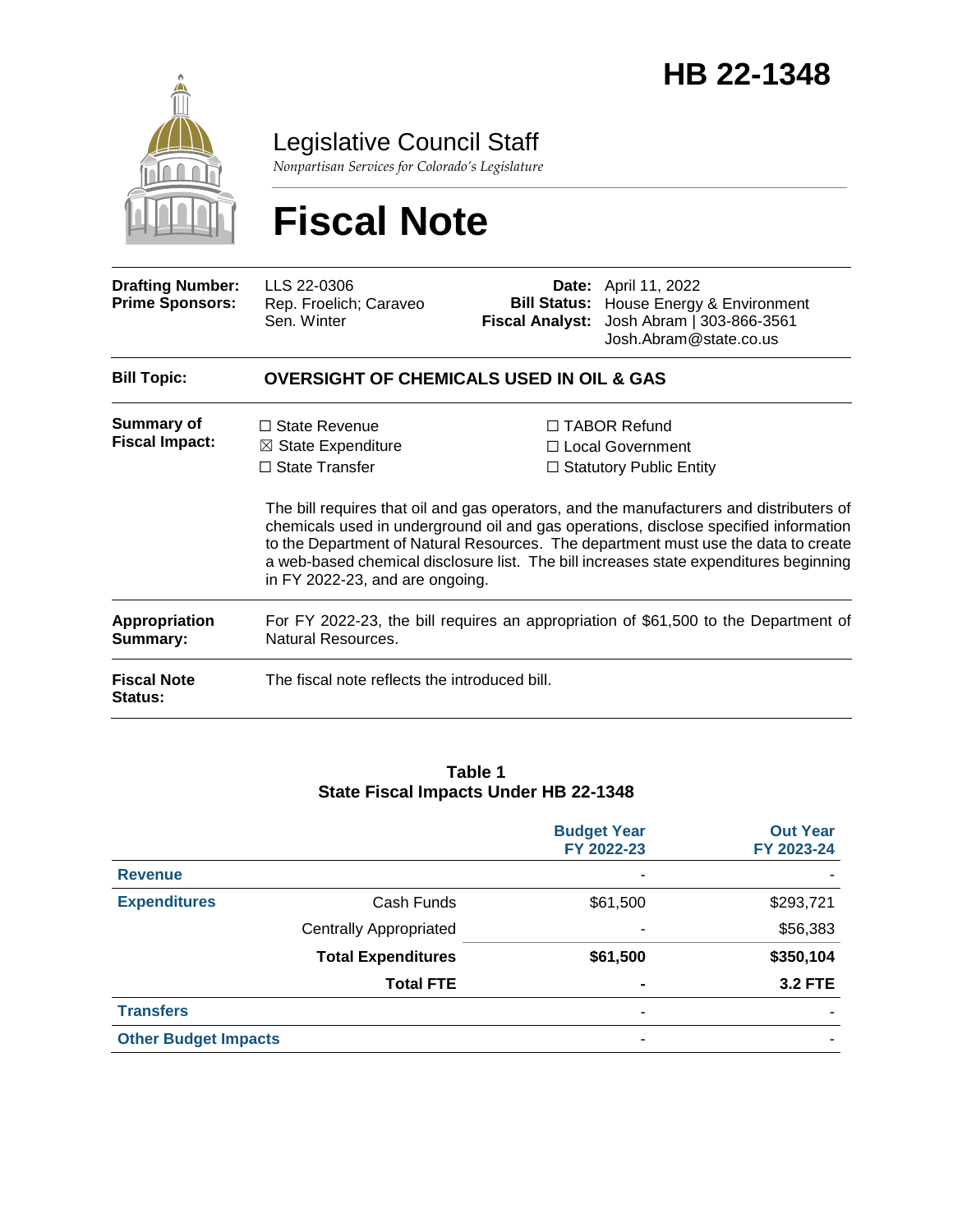

Legislative Council Staff

*Nonpartisan Services for Colorado's Legislature*

# **Fiscal Note**

| <b>Drafting Number:</b><br><b>Prime Sponsors:</b> | LLS 22-0306<br>Rep. Froelich; Caraveo<br>Sen. Winter                                                              | <b>Fiscal Analyst:</b>                                                                                                                                                                                                                                                                                                                                                                                                                        | <b>Date:</b> April 11, 2022<br><b>Bill Status:</b> House Energy & Environment<br>Josh Abram   303-866-3561<br>Josh.Abram@state.co.us |  |  |
|---------------------------------------------------|-------------------------------------------------------------------------------------------------------------------|-----------------------------------------------------------------------------------------------------------------------------------------------------------------------------------------------------------------------------------------------------------------------------------------------------------------------------------------------------------------------------------------------------------------------------------------------|--------------------------------------------------------------------------------------------------------------------------------------|--|--|
| <b>Bill Topic:</b>                                | <b>OVERSIGHT OF CHEMICALS USED IN OIL &amp; GAS</b>                                                               |                                                                                                                                                                                                                                                                                                                                                                                                                                               |                                                                                                                                      |  |  |
| <b>Summary of</b><br><b>Fiscal Impact:</b>        | $\Box$ State Revenue<br>$\boxtimes$ State Expenditure<br>$\Box$ State Transfer<br>in FY 2022-23, and are ongoing. | $\Box$ TABOR Refund<br>□ Local Government<br>$\Box$ Statutory Public Entity<br>The bill requires that oil and gas operators, and the manufacturers and distributers of<br>chemicals used in underground oil and gas operations, disclose specified information<br>to the Department of Natural Resources. The department must use the data to create<br>a web-based chemical disclosure list. The bill increases state expenditures beginning |                                                                                                                                      |  |  |
| <b>Appropriation</b><br>Summary:                  | For FY 2022-23, the bill requires an appropriation of \$61,500 to the Department of<br>Natural Resources.         |                                                                                                                                                                                                                                                                                                                                                                                                                                               |                                                                                                                                      |  |  |
| <b>Fiscal Note</b><br>Status:                     | The fiscal note reflects the introduced bill.                                                                     |                                                                                                                                                                                                                                                                                                                                                                                                                                               |                                                                                                                                      |  |  |

#### **Table 1 State Fiscal Impacts Under HB 22-1348**

|                             |                               | <b>Budget Year</b><br>FY 2022-23 | <b>Out Year</b><br>FY 2023-24 |
|-----------------------------|-------------------------------|----------------------------------|-------------------------------|
| <b>Revenue</b>              |                               | ۰                                |                               |
| <b>Expenditures</b>         | Cash Funds                    | \$61,500                         | \$293,721                     |
|                             | <b>Centrally Appropriated</b> | -                                | \$56,383                      |
|                             | <b>Total Expenditures</b>     | \$61,500                         | \$350,104                     |
|                             | <b>Total FTE</b>              | $\blacksquare$                   | <b>3.2 FTE</b>                |
| <b>Transfers</b>            |                               | -                                |                               |
| <b>Other Budget Impacts</b> |                               | ۰                                |                               |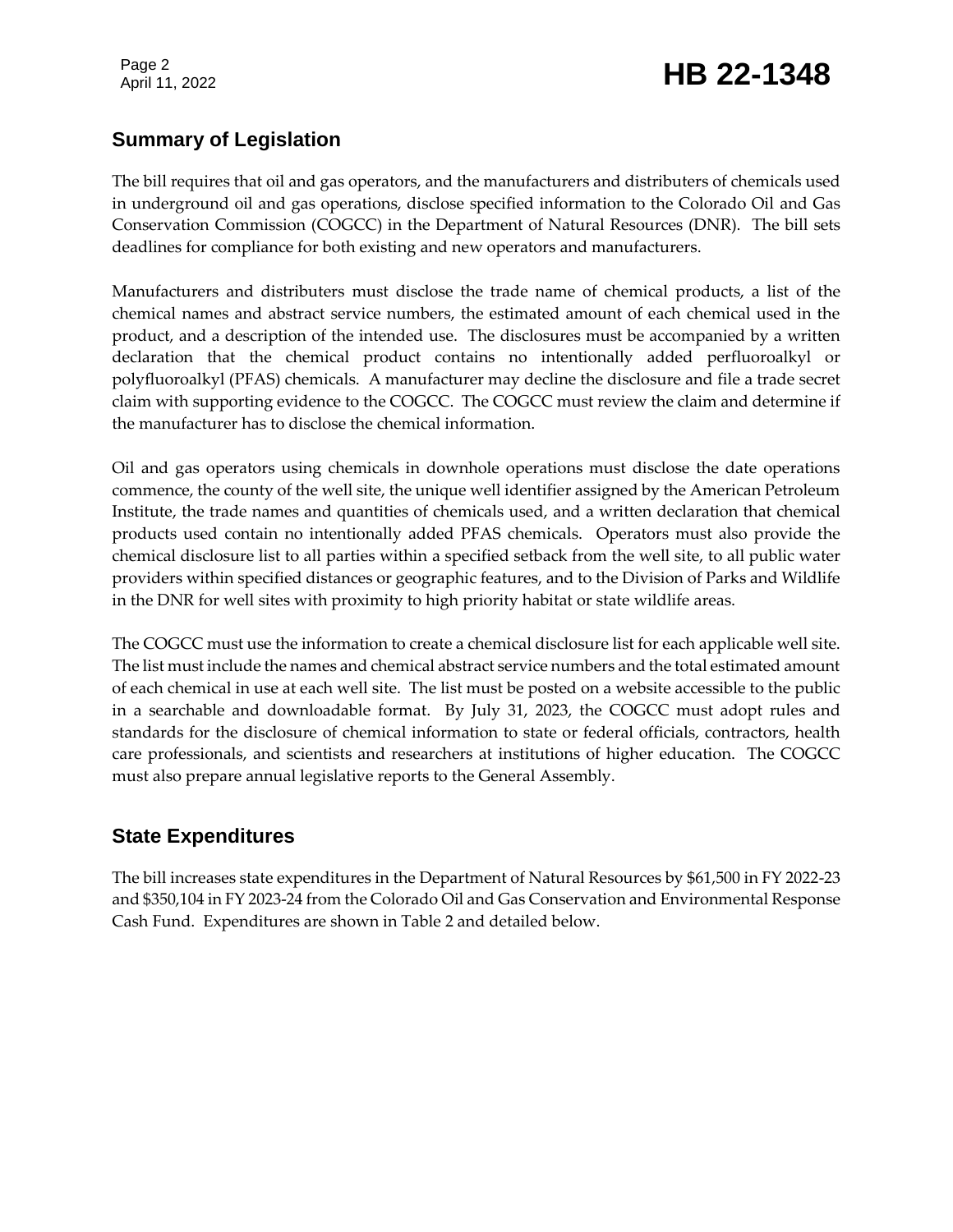Page 2

## Page 2<br>April 11, 2022 **HB 22-1348**

#### **Summary of Legislation**

The bill requires that oil and gas operators, and the manufacturers and distributers of chemicals used in underground oil and gas operations, disclose specified information to the Colorado Oil and Gas Conservation Commission (COGCC) in the Department of Natural Resources (DNR). The bill sets deadlines for compliance for both existing and new operators and manufacturers.

Manufacturers and distributers must disclose the trade name of chemical products, a list of the chemical names and abstract service numbers, the estimated amount of each chemical used in the product, and a description of the intended use. The disclosures must be accompanied by a written declaration that the chemical product contains no intentionally added perfluoroalkyl or polyfluoroalkyl (PFAS) chemicals. A manufacturer may decline the disclosure and file a trade secret claim with supporting evidence to the COGCC. The COGCC must review the claim and determine if the manufacturer has to disclose the chemical information.

Oil and gas operators using chemicals in downhole operations must disclose the date operations commence, the county of the well site, the unique well identifier assigned by the American Petroleum Institute, the trade names and quantities of chemicals used, and a written declaration that chemical products used contain no intentionally added PFAS chemicals. Operators must also provide the chemical disclosure list to all parties within a specified setback from the well site, to all public water providers within specified distances or geographic features, and to the Division of Parks and Wildlife in the DNR for well sites with proximity to high priority habitat or state wildlife areas.

The COGCC must use the information to create a chemical disclosure list for each applicable well site. The list must include the names and chemical abstract service numbers and the total estimated amount of each chemical in use at each well site. The list must be posted on a website accessible to the public in a searchable and downloadable format. By July 31, 2023, the COGCC must adopt rules and standards for the disclosure of chemical information to state or federal officials, contractors, health care professionals, and scientists and researchers at institutions of higher education. The COGCC must also prepare annual legislative reports to the General Assembly.

#### **State Expenditures**

The bill increases state expenditures in the Department of Natural Resources by \$61,500 in FY 2022-23 and \$350,104 in FY 2023-24 from the Colorado Oil and Gas Conservation and Environmental Response Cash Fund. Expenditures are shown in Table 2 and detailed below.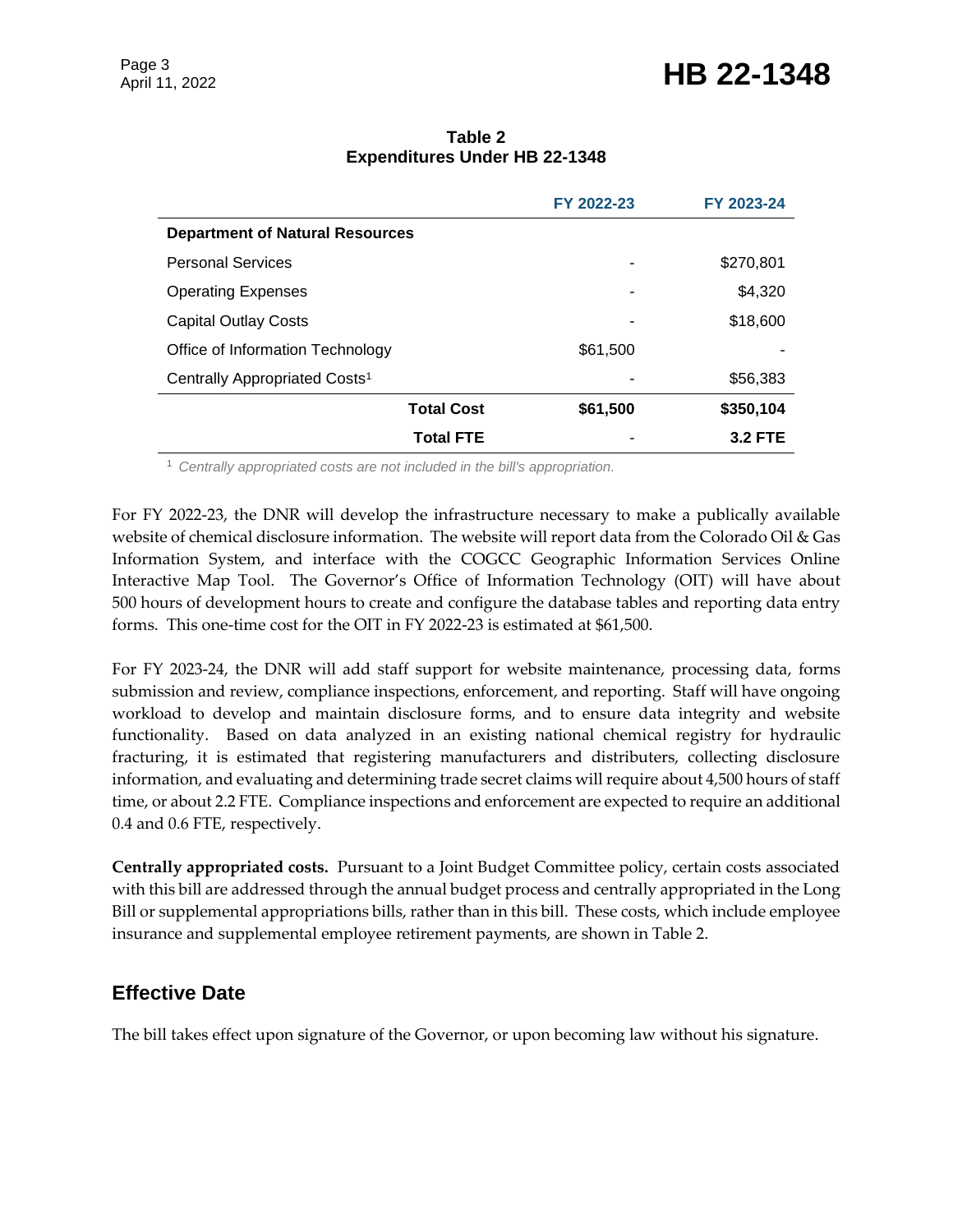### Page 3<br>April 11, 2022 **HB 22-1348**

| Table 2                              |  |  |  |  |
|--------------------------------------|--|--|--|--|
| <b>Expenditures Under HB 22-1348</b> |  |  |  |  |

|                                           | FY 2022-23 | FY 2023-24     |
|-------------------------------------------|------------|----------------|
| <b>Department of Natural Resources</b>    |            |                |
| <b>Personal Services</b>                  |            | \$270,801      |
| <b>Operating Expenses</b>                 | ۰          | \$4,320        |
| <b>Capital Outlay Costs</b>               | -          | \$18,600       |
| Office of Information Technology          | \$61,500   |                |
| Centrally Appropriated Costs <sup>1</sup> |            | \$56,383       |
| <b>Total Cost</b>                         | \$61,500   | \$350,104      |
| <b>Total FTE</b>                          |            | <b>3.2 FTE</b> |

<sup>1</sup> *Centrally appropriated costs are not included in the bill's appropriation.*

For FY 2022-23, the DNR will develop the infrastructure necessary to make a publically available website of chemical disclosure information. The website will report data from the Colorado Oil & Gas Information System, and interface with the COGCC Geographic Information Services Online Interactive Map Tool. The Governor's Office of Information Technology (OIT) will have about 500 hours of development hours to create and configure the database tables and reporting data entry forms. This one-time cost for the OIT in FY 2022-23 is estimated at \$61,500.

For FY 2023-24, the DNR will add staff support for website maintenance, processing data, forms submission and review, compliance inspections, enforcement, and reporting. Staff will have ongoing workload to develop and maintain disclosure forms, and to ensure data integrity and website functionality. Based on data analyzed in an existing national chemical registry for hydraulic fracturing, it is estimated that registering manufacturers and distributers, collecting disclosure information, and evaluating and determining trade secret claims will require about 4,500 hours of staff time, or about 2.2 FTE. Compliance inspections and enforcement are expected to require an additional 0.4 and 0.6 FTE, respectively.

**Centrally appropriated costs.** Pursuant to a Joint Budget Committee policy, certain costs associated with this bill are addressed through the annual budget process and centrally appropriated in the Long Bill or supplemental appropriations bills, rather than in this bill. These costs, which include employee insurance and supplemental employee retirement payments, are shown in Table 2.

#### **Effective Date**

The bill takes effect upon signature of the Governor, or upon becoming law without his signature.